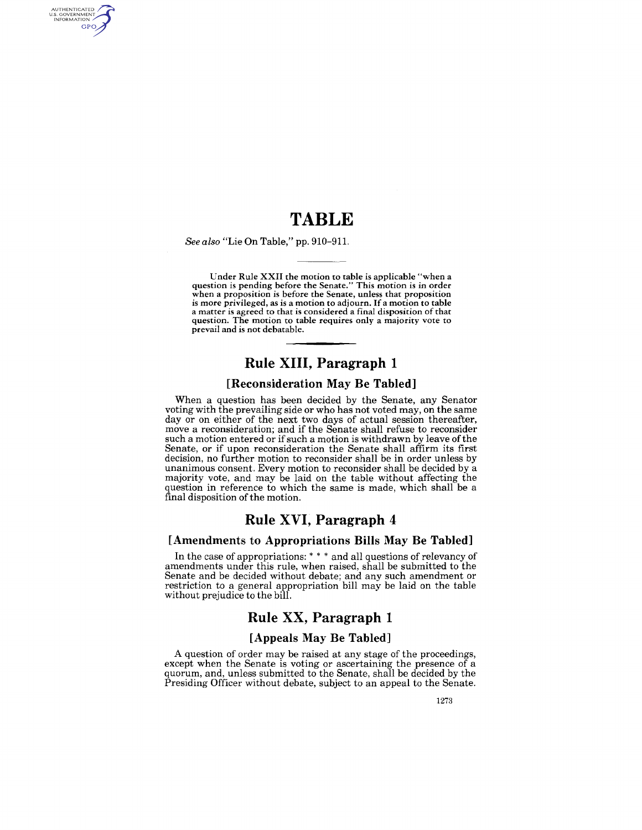## **TABLE**

*See also* "Lie On Table," pp. 910-911.

AUTHENTICATED<br>U.S. GOVERNMENT<br>INFORMATION GPO

> Under Rule XXII the motion to table is applicable "when a question is pending before the Senate." This motion is in order when a proposition is before the Senate, unless that proposition is more privileged, as is a motion to adjourn. If a motion to table a matter is agreed to that is considered a final disposition of that question. The motion to table requires only a majority vote to prevail and is not debatable.

### **Rule XIII, Paragraph 1**

#### **[Reconsideration May Be Tabled]**

When a question has been decided by the Senate, any Senator voting with the prevailing side or who has not voted may, on the same day or on either of the next two days of actual session thereafter, move a reconsideration; and if the Senate shall refuse to reconsider such a motion entered or if such a motion is withdrawn by leave of the Senate, or if upon reconsideration the Senate shall affirm its first decision, no further motion to reconsider shall be in order unless by unanimous consent. Every motion to reconsider shall be decided by a majority vote, and may be laid on the table without affecting the question in reference to which the same is made, which shall be a final disposition of the motion.

### **Rule XVI, Paragraph 4**

#### **[Amendments to Appropriations Bills May Be Tabled]**

**In** the case of appropriations: \* \* \* and all questions of relevancy of amendments under this rule, when raised, shall be submitted to the Senate and be decided without debate; and any such amendment or restriction to a general appropriation bill may be laid on the table without prejudice to the bill.

### **Rule XX, Paragraph 1**

#### **[Appeals May Be Tabled]**

A question of order may be raised at any stage of the proceedings, except when the Senate is voting or ascertaining the presence of a quorum, and, unless submitted to the Senate, shall be decided by the Presiding Officer without debate, subject to an appeal to the Senate.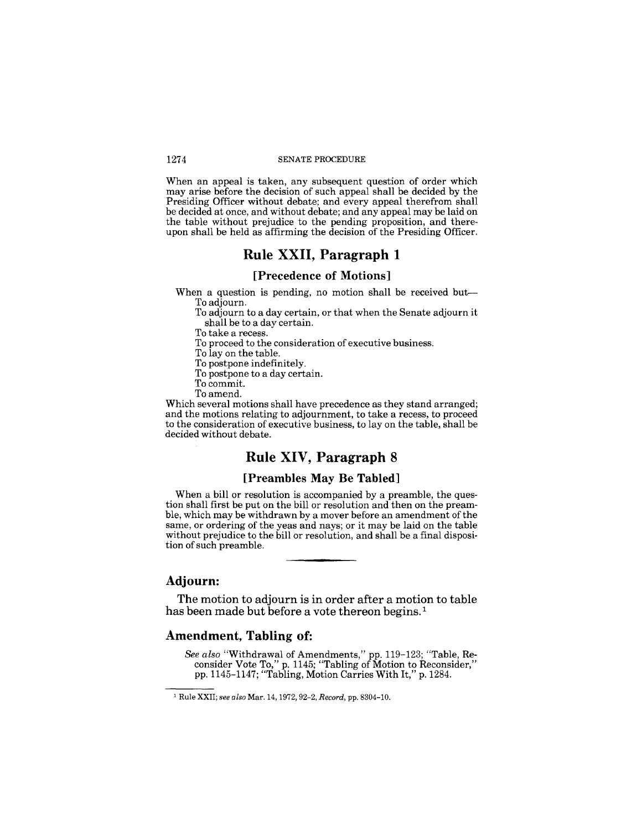When an appeal is taken, any subsequent question of order which may arise before the decision of such appeal shall be decided by the Presiding Officer without debate; and every appeal therefrom shall be decided at once, and without debate; and any appeal may be laid on the table without prejudice to the pending proposition, and thereupon shall be held as affirming the decision of the Presiding Officer.

### **Rule XXII, Paragraph 1**

### **[Precedence of Motions]**

When a question is pending, no motion shall be received but-To adjourn.

To adjourn to a day certain, or that when the Senate adjourn it shall be to a day certain.

To take a recess.

To proceed to the consideration of executive business.

To lay on the table.

To postpone indefinitely.

To postpone to a day certain.

To commit.

To amend.

Which several motions shall have precedence as they stand arranged; and the motions relating to adjournment, to take a recess, to proceed to the consideration of executive business, to lay on the table, shall be decided without debate.

### **Rule XIV, Paragraph 8**

### **[Preambles May Be Tabled]**

When a bill or resolution is accompanied by a preamble, the question shall first be put on the bill or resolution and then on the preamble, which may be withdrawn by a mover before an amendment of the same, or ordering of the yeas and nays; or it may be laid on the table without prejudice to the bill or resolution, and shall be a final disposition of such preamble.

#### **Adjourn:**

**The** motion to adjourn is in order after a motion to table has been made but before a vote thereon begins.<sup>1</sup>

### **Amendment, Tabling of:**

*See also* "Withdrawal of Amendments," pp. 119-123; "Table, Reconsider Vote To," p. 1145; "Tabling of Motion to Reconsider," pp. 1145-1147; "Tabling, Motion Carries With It," p. 1284.

<sup>1</sup> Rule XXII; *see also* Mar. 14,1972,92-2, *Record,* pp. 8304-10.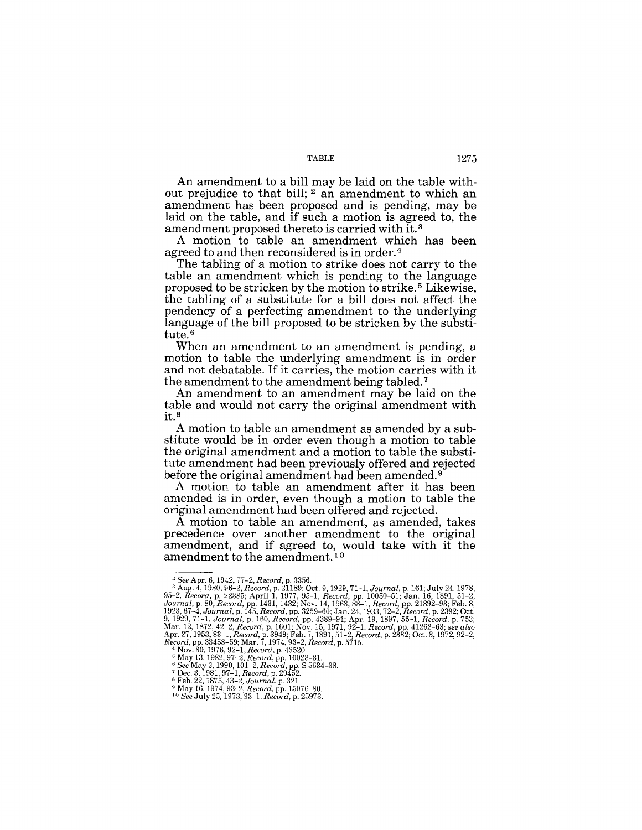An amendment to a bill may be laid on the table without prejudice to that bill; <sup>2</sup> an amendment to which an amendment has been proposed and is pending, may be laid on the table, and if such a motion is agreed to, the amendment proposed thereto is carried with it. <sup>3</sup>

A motion to table an amendment which has been agreed to and then reconsidered is in order. 4

The tabling of a motion to strike does not carry to the table an amendment which is pending to the language proposed to be stricken by the motion to strike. 5 Likewise, the tabling of a substitute for a bill does not affect the pendency of a perfecting amendment to the underlying language of the bill proposed to be stricken by the substitute.<sup>6</sup>

When an amendment to an amendment is pending, a motion to table the underlying amendment is in order and not debatable. If it carries, the motion carries with it the amendment to the amendment being tabled. 7

An amendment to an amendment may be laid on the table and would not carry the original amendment with it. <sup>8</sup>

A motion to table an amendment as amended by a substitute would be in order even though a motion to table the original amendment and a motion to table the substitute amendment had been previously offered and rejected before the original amendment had been amended. 9

A motion to table an amendment after it has been amended is in order, even though a motion to table the original amendment had been offered and rejected.

A motion to table an amendment, as amended, takes precedence over another amendment to the original amendment, and if agreed to, would take with it the amendment to the amendment.<sup>10</sup>

<sup>&</sup>lt;sup>2</sup> See Apr. 6, 1942, 77-2, Record, p. 3356.<br>
<sup>3</sup> Aug. 4, 1980, 96-2, Record, p. 21189, 70ct. 9, 1929, 71-1, Journal, p. 161; July 24, 1978, 95-2, Record, p. 22385; April 1, 1977, 95-1, Record, pp. 10050-51; Jan. 16, 1891

*<sup>6</sup> See* May 3,1990,101-2, *Record,* pp. S 5634-38. 7 Dec. 3,1981,97-1, *Record,* p. 29452. 8 Feb. 22,1875,43-2, *Journal,* p. 32l.

<sup>9</sup>May 16, 1974,93-2, *Record,* pp. 15076-80. *10 See* July 25,1973,93-1, *Record,* p. 25973.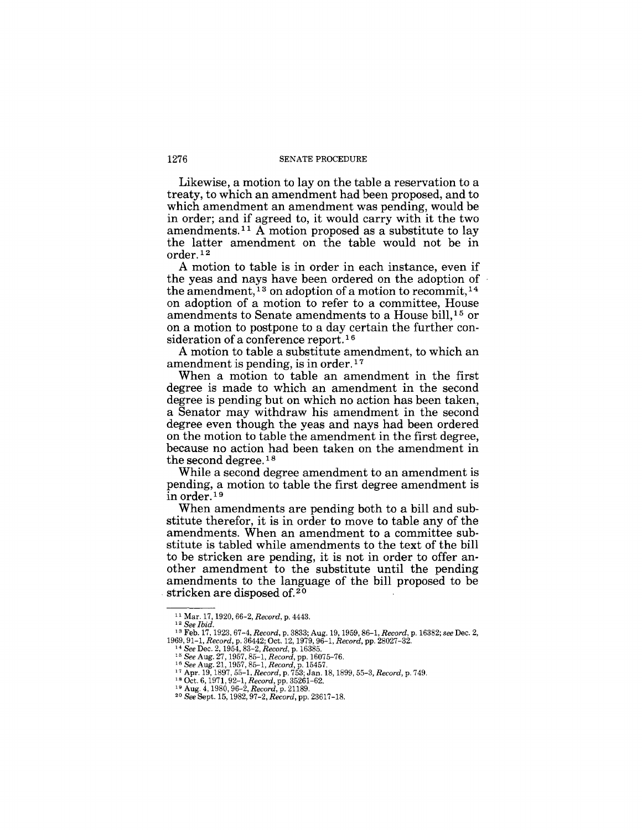Likewise, a motion to lay on the table a reservation to a treaty, to which an amendment had been proposed, and to which amendment an amendment was pending, would be in order; and if agreed to, it would carry with it the two amendments.<sup>11</sup> A motion proposed as a substitute to lay the latter amendment on the table would not be in order. 12

A motion to table is in order in each instance, even if the yeas and nays have been ordered on the adoption of the amendment,  $13$  on adoption of a motion to recommit,  $14$ on adoption of a motion to refer to a committee, House amendments to Senate amendments to a House bill,15 or on a motion to postpone to a day certain the further consideration of a conference report.<sup>16</sup>

A motion to table a substitute amendment, to which an amendment is pending, is in order. 17

When a motion to table an amendment in the first degree is made to which an amendment in the second degree is pending but on which no action has been taken, a Senator may withdraw his amendment in the second degree even though the yeas and nays had been ordered on the motion to table the amendment in the first degree, because no action had been taken on the amendment in the second degree. 18

While a second degree amendment to an amendment is pending, a motion to table the first degree amendment is in order. 19

When amendments are pending both to a bill and substitute therefor, it is in order to move to table any of the amendments. When an amendment to a committee substitute is tabled while amendments to the text of the bill to be stricken are pending, it is not in order to offer another amendment to the substitute until the pending amendments to the language of the bill proposed to be stricken are disposed of.<sup>20</sup>

<sup>11</sup> Mar. 17, 1920, 66-2, *Record,* p. 4443.

<sup>12</sup>*See Ibid.* 

<sup>&</sup>lt;sup>13</sup> Feb. 17, 1923, 67-4, *Record*, p. 3833; Aug. 19, 1959, 86-1, *Record*, p. 16382; see Dec. 2, 1969, 91-1, *Record*, p. 28027-32.<br>1969, 91-1, *Record*, p. 36442; Oct. 12, 1979, 96-1, *Record*, pp. 28027-32.<br><sup>14</sup> See De

**<sup>20 20 13</sup> Oct. 6, 1971, 92-1,** *Record*, pp. 35261-62.<br><sup>19</sup> Aug. 4, 1980, 96-2, *Record*, pp. 35261-62.<br><sup>20</sup> *See* Sept. 15, 1982, 97-2, *Record*, pp. 23617-18.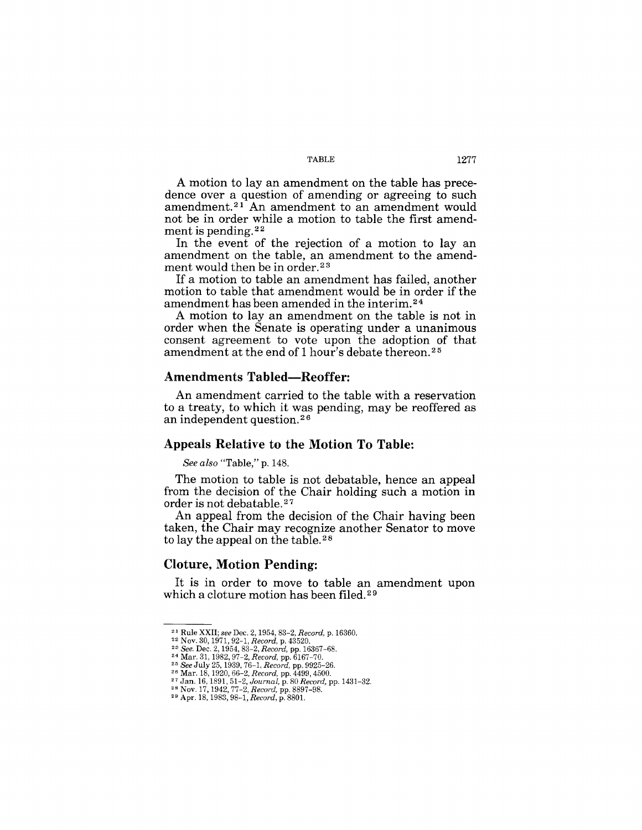A motion to lay an amendment on the table has precedence over a question of amending or agreeing to such amendment. 21 An amendment to an amendment would not be in order while a motion to table the first amendment is pending. 22

In the event of the rejection of a motion to lay an amendment on the table, an amendment to the amendment would then be in order.<sup>23</sup>

If a motion to table an amendment has failed, another motion to table that amendment would be in order if the amendment has been amended in the interim. 24

A motion to lay an amendment on the table is not in order when the Senate is operating under a unanimous consent agreement to vote upon the adoption of that amendment at the end of 1 hour's debate thereon.<sup>25</sup>

#### Amendments Tabled-Reoffer:

An amendment carried to the table with a reservation to a treaty, to which it was pending, may be reoffered as an independent question. 26

#### Appeals Relative to the Motion To Table:

*See also* "Table," p. 148.

The motion to table is not debatable, hence an appeal from the decision of the Chair holding such a motion in order is not debatable. 27

An appeal from the decision of the Chair having been taken, the Chair may recognize another Senator to move to lay the appeal on the table. 28

### Cloture, Motion Pending:

It is in order to move to table an amendment upon which a cloture motion has been filed.<sup>29</sup>

<sup>&</sup>lt;sup>21</sup> Rule XXII; see Dec. 2, 1954, 83–2, *Record, p. 16360.*<br><sup>22</sup> Nov. 30, 1971, 92–1, *Record, p.* 43520.<br><sup>23</sup> *See.* Dec. 2, 1954, 83–2, *Record, pp. 16367–68.*<br><sup>24</sup> Mar. 31, 1982, 97–2, *Record, pp.* 6167–70.<br><sup>25</sup> *See* 

<sup>27</sup> Jan. 16, 1891, 51-2, *Journal,* p. 80 *Record,* pp. 1431-32. 28 Nov. 17, 1942, 77-2, *Record,* pp. 8897-98. 29 Apr. 18, 1983, 98--1, *Record,* p. 8801.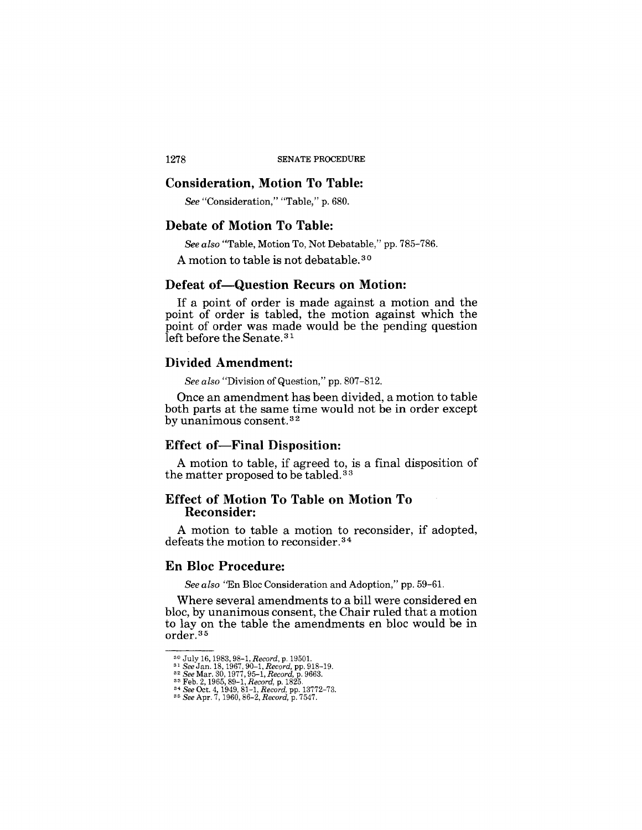#### **Consideration, Motion To Table:**

*See* "Consideration," "Table," p. 680.

### **Debate of Motion To Table:**

*See also* "Table, Motion To, Not Debatable," pp. 785-786.

A motion to table is not debatable. 30

### **Defeat of-Question Recurs on Motion:**

If a point of order is made against a motion and the point of order is tabled, the motion against which the point of order was made would be the pending question left before the Senate.<sup>31</sup>

### **Divided Amendment:**

*See also* "Division of Question," pp. 807-812.

Once an amendment has been divided, a motion to table both parts at the same time would not be in order except by unanimous consent.<sup>32</sup>

### **Effect of—Final Disposition:**

A motion to table, if agreed to, is a final disposition of the matter proposed to be tabled.<sup>33</sup>

### **Effect of Motion To Table on Motion To Reconsider:**

A motion to table a motion to reconsider, if adopted, defeats the motion to reconsider. 34

### **En Bloc Procedure:**

*See also* "En Bloc Consideration and Adoption," pp. 59-6l.

Where several amendments to a bill were considered en bloc, by unanimous consent, the Chair ruled that a motion to lay on the table the amendments en bloc would be in order.35

<sup>&</sup>lt;sup>30</sup> July 16, 1983, 98-1, *Record*, p. 19501.<br><sup>31</sup> See Jan. 18, 1967, 90-1, *Record*, pp. 918-19.<br><sup>32</sup> See Mar. 30, 1977, 95-1, *Record*, p. 9663.<br><sup>33</sup> Feb. 2, 1965, 89-1, *Record*, p. 1825.<br><sup>34</sup> See Oct. 4, 1949, 81-1, *R*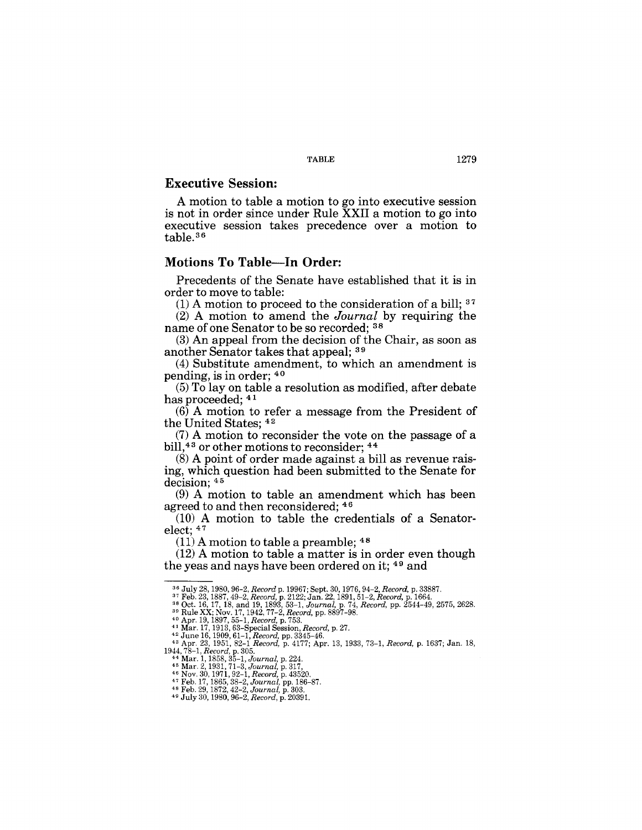### **Executive Session:**

A motion to table a motion to go into executive session is not in order since under Rule XXII a motion to go into executive session takes precedence over a motion to table. 36

#### **Motions To Table-In Order:**

Precedents of the Senate have established that it is in order to move to table:

 $(1)$  A motion to proceed to the consideration of a bill;  $37$ 

(2) A motion to amend the *Journal* by requiring the name of one Senator to be so recorded; 38

(3) An appeal from the decision of the Chair, as soon as another Senator takes that appeal; 39

(4) Substitute amendment, to which an amendment is pending, is in order; 40

(5) To lay on table a resolution as modified, after debate has proceeded; 41

(6) A motion to refer a message from the President of the United States; 42

(7) A motion to reconsider the vote on the passage of a bill,<sup>43</sup> or other motions to reconsider; <sup>44</sup>

(8) A point of order made against a bill as revenue raising, which question had been submitted to the Senate for decision;  $45$ 

 $(9)$  A motion to table an amendment which has been agreed to and then reconsidered; 46

(10) A motion to table the credentials of a Senatorelect; 47

 $(11)$  A motion to table a preamble; <sup>48</sup>

(12) A motion to table a matter is in order even though the yeas and nays have been ordered on it; 49 and

<sup>&</sup>lt;sup>36</sup> July 28, 1980, 96–2, *Record* p. 19967; Sept. 30, 1976, 94–2, *Record,* p. 33887.<br><sup>37</sup> Feb. 23, 1887, 49–2, *Record,* p. 2122; Jan. 22, 1891, 51–2, *Record,* p. 1664.<br><sup>38</sup> Oct. 16, 17, 18, and 19, 1893, 53–1, *Journal* 

<sup>&</sup>lt;sup>39</sup> Rule XX; Nov. 17, 1942, 77-2, *Record*, pp. 8897-98.<br><sup>40</sup> Apr. 19, 1897, 55-1, *Record*, p. 753.<br><sup>41</sup> Mar. 17, 1913, 63-Special Session, *Record*, p. 27.

<sup>&</sup>lt;sup>42</sup> June 16, 1909, 61-1, Record, pp. 3345-46.<br>
<sup>43</sup> Apr. 23, 1951, 82-1 Record, p. 4177; Apr. 13, 1933, 73-1, Record, p. 1637; Jan. 18,<br>
1944, 78-1, Record, p. 305.<br> **44 Mar. 1, 1858**, 35-1, Journal, p. 224.<br> **44 Mar. 2,**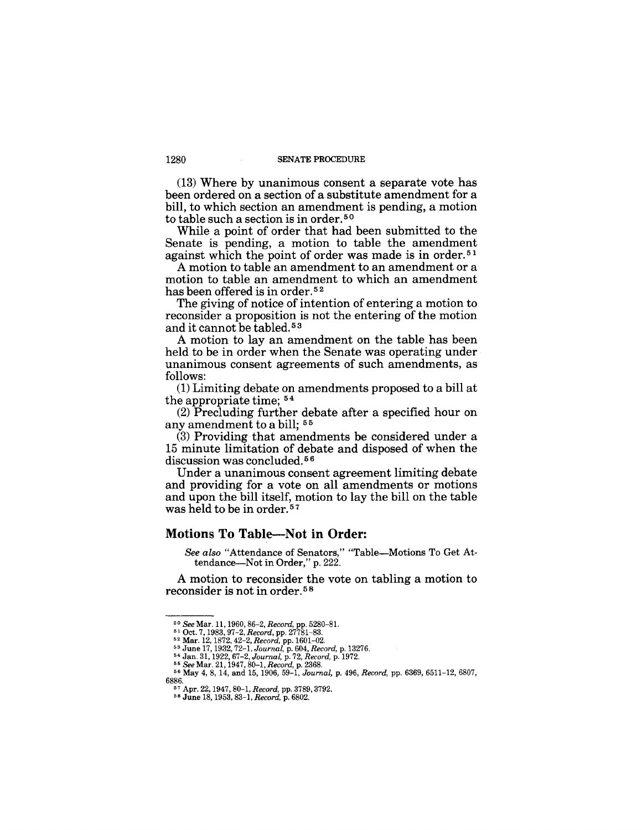(13) Where by unanimous consent a separate vote has been ordered on a section of a substitute amendment for a bill, to which section an amendment is pending, a motion to table such a section is in order.<sup>50</sup>

While a point of order that had been submitted to the Senate is pending, a motion to table the amendment against which the point of order was made is in order. 51

A motion to table an amendment to an amendment or a motion to table an amendment to which an amendment has been offered is in order. <sup>52</sup>

The giving of notice of intention of entering a motion to reconsider a proposition is not the entering of the motion and it cannot be tabled.<sup>53</sup>

A motion to lay an amendment on the table has been held to be in order when the Senate was operating under unanimous consent agreements of such amendments, as follows:

(1) Limiting debate on amendments proposed to a bill at the appropriate time; <sup>54</sup>

(2) Precluding further debate after a specified hour on any amendment to a bill; 55

(3) Providing that amendments be considered under a 15 minute limitation of debate and disposed of when the discussion was concluded.<sup>56</sup>

Under a unanimous consent agreement limiting debate and providing for a vote on all amendments or motions and upon the bill itself, motion to lay the bill on the table was held to be in order.<sup>57</sup>

#### **Motions To Table-Not in Order:**

*See also* "Attendance of Senators," "Table-Motions To Get Attendance-Not in Order," p. 222.

A motion to reconsider the vote on tabling a motion to reconsider is not in order. 5 8

<sup>&</sup>lt;sup>50</sup> *See* Mar. 11, 1960, 86–2, *Record, p*p. 5280–81.<br><sup>51</sup> Oct. 7, 1983, 97–2, *Record, p*p. 27781–83.<br><sup>52</sup> Mar. 12, 1872, 42–2, *Record, pp.* 1601–02.<br><sup>53</sup> June 17, 1932, 72–1, *Journal, p.* 604, *Record, p.* 13276.

<sup>&</sup>lt;sup>54</sup> Jan. 31, 1922, 67–2, Journal, p. 72, Record, p. 1972.<br><sup>55</sup> See Mar. 21, 1947, 80–1, Record, p. 2368.<br><sup>56</sup> May 4, 8, 14, and 15, 1906, 59–1, Journal, p. 496, Record, pp. 6369, 6511–12, 6807, 6886. 57 Apr. 22, 1947, 80-1, *Record,* pp. 3789, 3792.

<sup>58</sup> June 18, 1953, 83-1, *Record,* p. 6802.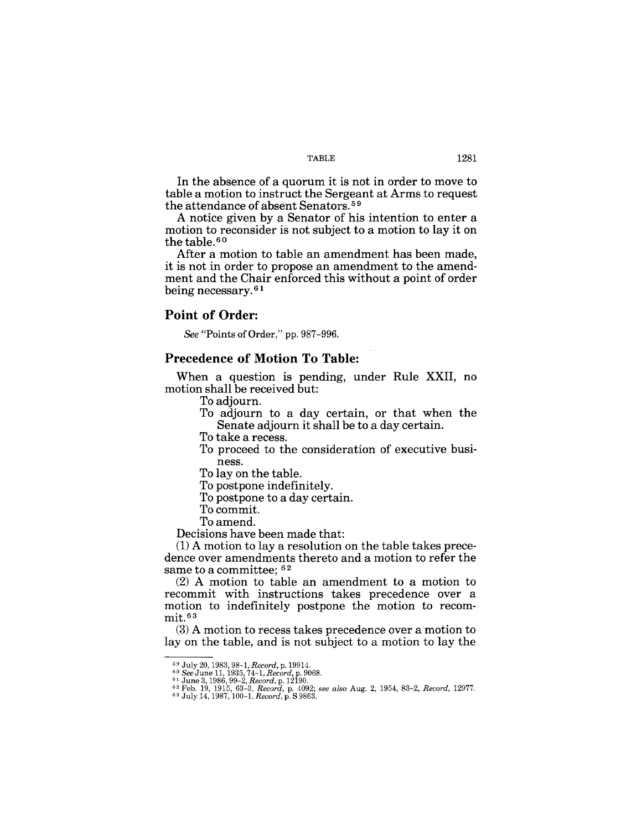In the absence of a quorum it is not in order to move to table a motion to instruct the Sergeant at Arms to request the attendance of absent Senators. 59

A notice given by a Senator of his intention to enter a motion to reconsider is not subject to a motion to lay it on the table.<sup>60</sup>

After a motion to table an amendment has been made, it is not in order to propose an amendment to the amendment and the Chair enforced this without a point of order being necessary.<sup>61</sup>

#### **Point of Order:**

*See* "Points of Order," pp. 987-996.

### **Precedence of Motion To Table:**

When a question is pending, under Rule XXII, no motion shall be received but:

To adjourn.

To adjourn to a day certain, or that when the Senate adjourn it shall be to a day certain.

To take a recess.

To proceed to the consideration of executive business.

To lay on the table.

To postpone indefinitely.

To postpone to a day certain.

To commit.

To amend.

Decisions have been made that:

(1) A motion to lay a resolution on the table takes precedence over amendments thereto and a motion to refer the same to a committee;  $62$ 

(2) A motion to table an amendment to a motion to recommit with instructions takes precedence over a motion to indefinitely postpone the motion to recommit.63

(3) A motion to recess takes precedence over a motion to lay on the table, and is not subject to a motion to lay the

 $\begin{array}{l} \text{59 July 20, 1983, 98-1, Record, p. 19914.} \\ \text{60 See June 11, 1935, 74-1, Record, p. 9068.} \\ \text{61 June 3, 1986, 99-2, Record, p. 12190.} \\ \text{62 Feb. 19, 1915, 63-3, Record, p. 4092; see also Aug. 2, 1954, 83-2, Record, 12977.} \\ \text{63 July 14, 1987, 100-1, Record, p. S 9863.} \end{array}$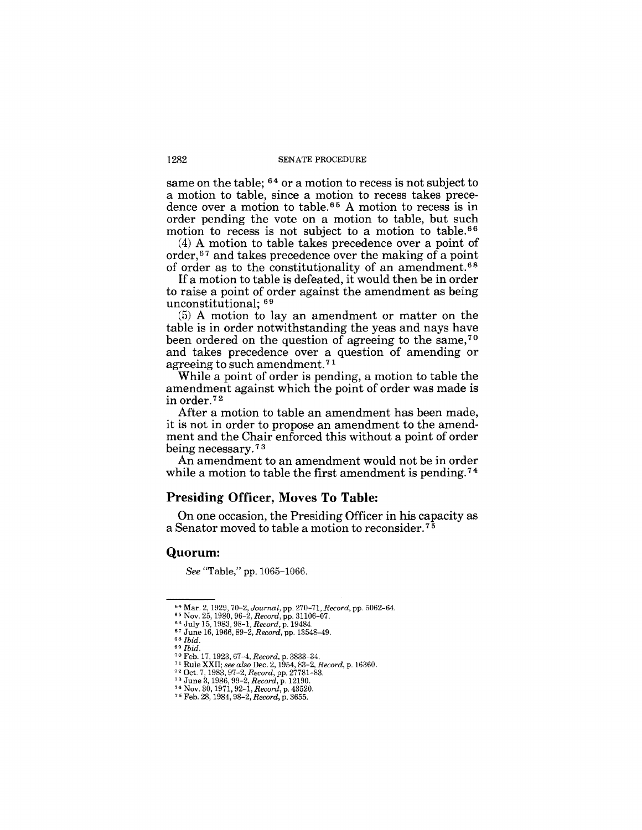same on the table;  $64$  or a motion to recess is not subject to a motion to table, since a motion to recess takes precedence over a motion to table.<sup>65</sup> A motion to recess is in order pending the vote on a motion to table, but such motion to recess is not subject to a motion to table. 66

(4) A motion to table takes precedence over a point of order,<sup>67</sup> and takes precedence over the making of a point of order as to the constitutionality of an amendment. 68

If a motion to table is defeated, it would then be in order to raise a point of order against the amendment as being unconstitutional; 69

(5) A motion to lay an amendment or matter on the table is in order notwithstanding the yeas and nays have been ordered on the question of agreeing to the same,<sup>70</sup> and takes precedence over a question of amending or agreeing to such amendment. 7 1

While a point of order is pending, a motion to table the amendment against which the point of order was made is in order. 72

After a motion to table an amendment has been made, it is not in order to propose an amendment to the amendment and the Chair enforced this without a point of order being necessary. 7 3

An amendment to an amendment would not be in order while a motion to table the first amendment is pending.<sup>74</sup>

### **Presiding Officer, Moves To Table:**

On one occasion, the Presiding Officer in his capacity as a Senator moved to table a motion to reconsider. 7 5

#### **Quorum:**

*See* "Table," pp. 1065-1066.

<sup>64</sup> Mar. 2, 1929,70-2, *Journal,* pp. 270-71, *Record,* pp. 5062-64.

<sup>65</sup> Nov. 25, 1980, 96-2, *Record,* pp. 31106-07. 66 July 15, 1983, 98-1, *Record,* p. 19484.

<sup>67</sup>June 16, 1966, 89-2, *Record,* pp. 13548-49. *68 Ibid. 69 Ibid.* 

<sup>70</sup>Feb. 17, 1923,67-4, *Record,* p. 3833-34. 71 Rule XXII; *see also* Dec. 2, 1954, 83-2, *Record,* p. 16360. 72 Oct. 7,1983,97-2, *Record,* pp. 27781-83.

<sup>73</sup>June 3,1986,99-2, *Record,* p. 12190. 74 Nov. 30, 1971,92-1, *Record,* p. 43520.

<sup>75</sup> Feb. 28, 1984,98-2, *Record,* p. 3655.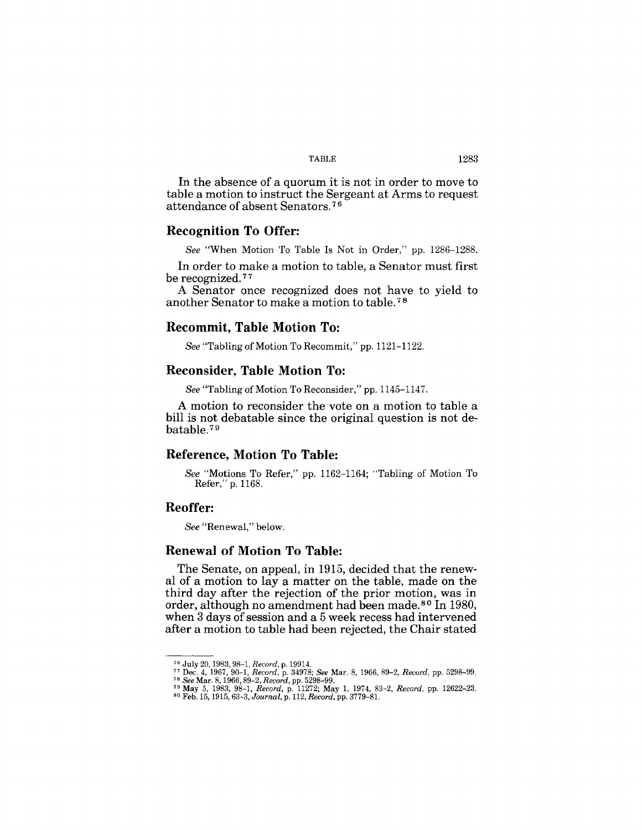#### TABLE 1283

In the absence of a quorum it is not in order to move to table a motion to instruct the Sergeant at Arms to request attendance of absent Senators. 7 6

### **Recognition To Offer:**

*See* "When Motion To Table Is Not in Order," pp. 1286-1288.

In order to make a motion to table, a Senator must first be recognized.<sup>77</sup>

A Senator once recognized does not have to yield to another Senator to make a motion to table. 7 8

#### **Recommit, Table Motion To:**

*See* "Tabling of Motion To Recommit," pp. 1121-1122.

#### **Reconsider, Table Motion To:**

*See* "Tabling of Motion To Reconsider," pp. 1145-1147.

A motion to reconsider the vote on a motion to table a bill is not debatable since the original question is not debatable. <sup>79</sup>

### **Reference, Motion To Table:**

*See* "Motions To Refer," pp. 1162-1164; "Tabling of Motion To Refer," p. 1168.

### **Reoffer:**

*See* "Renewal," below.

#### **Renewal of Motion To Table:**

The Senate, on appeal, in 1915, decided that the renewal of a motion to lay a matter on the table, made on the third day after the rejection of the prior motion, was in order, although no amendment had been made. 80 In 1980, when 3 days of session and a 5 week recess had intervened after a motion to table had been rejected, the Chair stated

<sup>&</sup>lt;sup>76</sup> July 20, 1983, 98–1, *Record,* p. 19914.<br><sup>77</sup> Dec. 4, 1967, 90–1, *Record,* p. 34978; *See Mar. 8, 1966, 89–2, Record, pp. 5298–99.* 

<sup>&</sup>lt;sup>78</sup> See Mar. 8, 1966, 89–2, Record, pp. 5298–99.<br><sup>79</sup> May 5, 1983, 98–1, Record, p. 11272; May 1, 1974, 83–2, Record, pp. 12622–23.<br><sup>80</sup> Feb. 15, 1915, 63–3, Journal, p. 112, Record, pp. 3779–81.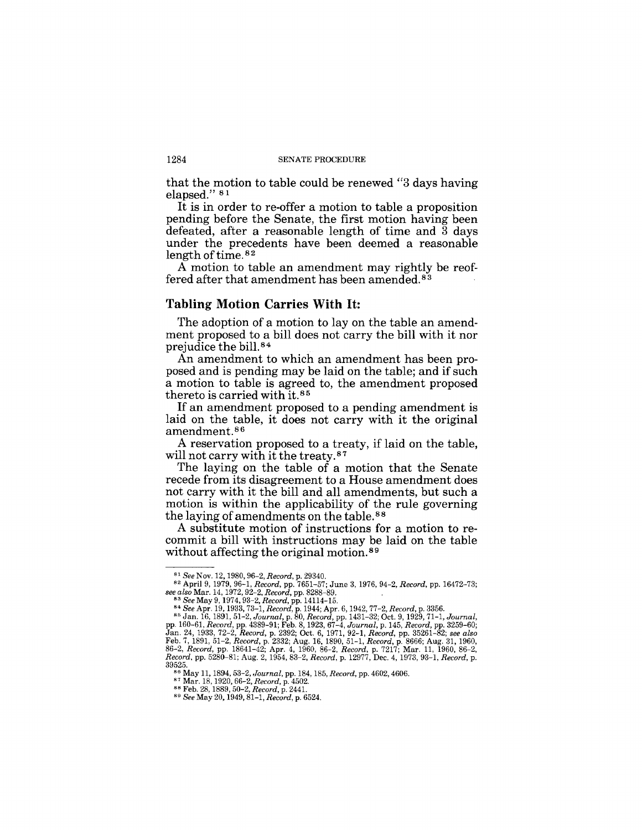that the motion to table could be renewed "3 days having elapsed." 81

It is in order to re-offer a motion to table a proposition pending before the Senate, the first motion having been defeated, after a reasonable length of time and 3 days under the precedents have been deemed a reasonable length of time.<sup>82</sup>

A motion to table an amendment may rightly be reoffered after that amendment has been amended.<sup>83</sup>

#### **Tabling Motion Carries With It:**

The adoption of a motion to lay on the table an amendment proposed to a bill does not carry the bill with it nor prejudice the bill. <sup>84</sup>

An amendment to which an amendment has been proposed and is pending may be laid on the table; and if such a motion to table is agreed to, the amendment proposed thereto is carried with it.<sup>85</sup>

If an amendment proposed to a pending amendment is laid on the table, it does not carry with it the original amendment. 86

A reservation proposed to a treaty, if laid on the table, will not carry with it the treaty.<sup>87</sup>

The laying on the table of a motion that the Senate recede from its disagreement to a House amendment does not carry with it the bill and all amendments, but such a motion is within the applicability of the rule governing the laying of amendments on the table. 88

A substitute motion of instructions for a motion to recommit a bill with instructions may be laid on the table without affecting the original motion.<sup>89</sup>

*<sup>81</sup> See* Nov. 12.1980,96-2, *Record,* p. 29340. 82 April 9, 1979, 96-1, *Record,* pp. 7651-57; June 3, 1976,94-2, *Record,* pp. 16472-73;

see also Mar. 14, 1972, 92-2, Record, pp. 8288-89.<br>
<sup>83</sup> See May 9, 1974, 93-2, Record, pp. 14114-15.<br>
<sup>84</sup> See Apr. 19, 1983, 73-1, Record, pp. 1444; Apr. 6, 1942, 77-2, Record, p. 3356.<br>
<sup>85</sup> Jan. 16, 1891, 51-2, Journal

<sup>86</sup> May 11, 1894, 53-2, *Journal,* pp. 184, 185, *Record,* pp. 4602, 4606. 87 Mar. 18, 1920, 66-2, *Record,* p. 4502. 88 Feb. 28, 1889, 50-2, *Record,* p. 2441.

<sup>89</sup> *See* May 20,1949,81-1, *Record,* p. 6524.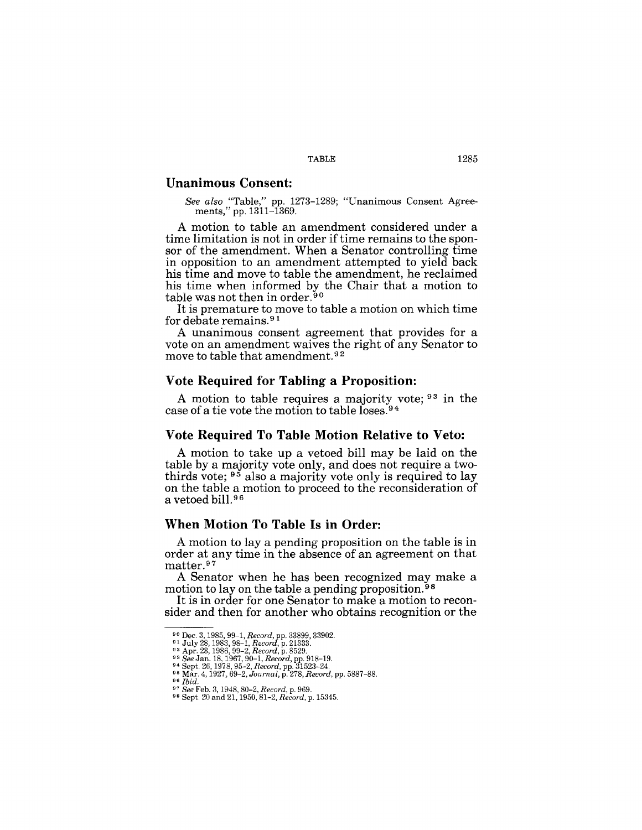### TABLE 1285

#### **Unanimous Consent:**

*See also* "Table," pp. 1273-1289; "Unanimous Consent Agreements," pp. 1311-1369.

A motion to table an amendment considered under a time limitation is not in order if time remains to the sponsor of the amendment. When a Senator controlling time in opposition to an amendment attempted to yield back his time and move to table the amendment, he reclaimed his time when informed by the Chair that a motion to table was not then in order.<sup>90</sup>

It is premature to move to table a motion on which time for debate remains. 9 1

A unanimous consent agreement that provides for a vote on an amendment waives the right of any Senator to move to table that amendment.<sup>92</sup>

### Vote Required for Tabling a Proposition:

A motion to table requires a majority vote; 93 in the case of a tie vote the motion to table loses.9 4

#### **Vote Required To Table Motion Relative to Veto:**

A motion to take up a vetoed bill may be laid on the table by a majority vote only, and does not require a twothirds vote; 95 also a majority vote only is required to lay on the table a motion to proceed to the reconsideration of a vetoed bill. 9 6

### **When Motion To Table Is in Order:**

A motion to lay a pending proposition on the table is in order at any time in the absence of an agreement on that matter.97

A Senator when he has been recognized may make a motion to lay on the table a pending proposition.<sup>98</sup>

It is in order for one Senator to make a motion to reconsider and then for another who obtains recognition or the

<sup>&</sup>lt;sup>90</sup> Dec. 3, 1985, 99–1, *Record*, pp. 33899, 33902.<br><sup>91</sup> July 28, 1983, 98–1, *Record*, p. 21333.<br><sup>92</sup> Apr. 23, 1986, 99–2, *Record*, p. 8529.<br><sup>93</sup> See Jan. 18, 1967, 90–1, *Record*, pp. 918–19.<br><sup>93</sup> See Jan. 18, 1967, 90

<sup>96</sup> *Ibid.* 

<sup>97</sup>*See* Feb. 3, 1948,80-2, *Record,* p. 969. 98 Sept. 20 and 21, 1950, 81-2, *Record,* p. 15345.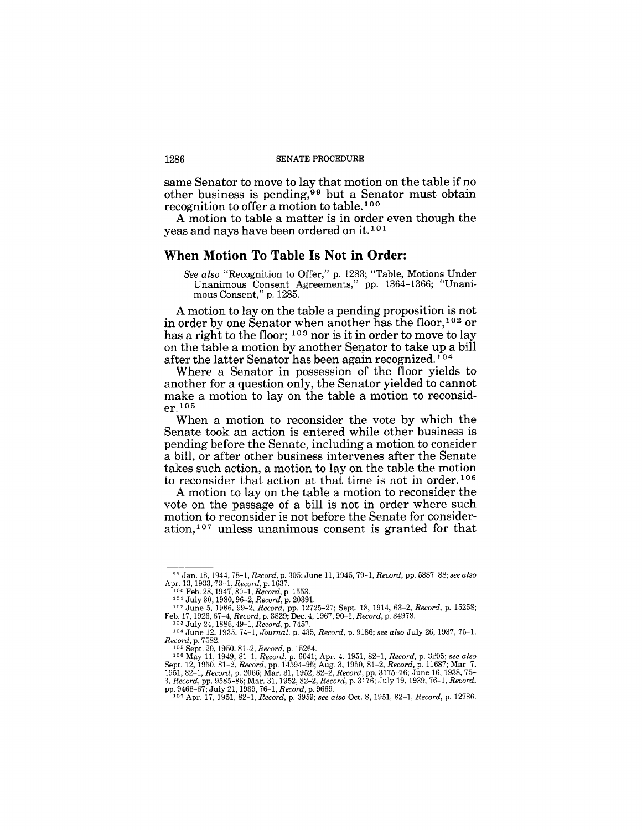same Senator to move to lay that motion on the table if no other business is pending,<sup>99</sup> but a Senator must obtain recognition to offer a motion to table.<sup>100</sup>

A motion to table a matter is in order even though the yeas and nays have been ordered on it.<sup>101</sup>

#### **When Motion To Table Is Not in Order:**

A motion to lay on the table a pending proposition is not in order by one Senator when another has the floor,  $102$  or has a right to the floor;  $103$  nor is it in order to move to lay on the table a motion by another Senator to take up a bill after the latter Senator has been again recognized.<sup>104</sup>

Where a Senator in possession of the floor yields to another for a question only, the Senator yielded to cannot make a motion to lay on the table a motion to reconsid $er<sup>105</sup>$ 

When a motion to reconsider the vote by which the Senate took an action is entered while other business is pending before the Senate, including a motion to consider a bill, or after other business intervenes after the Senate takes such action, a motion to lay on the table the motion to reconsider that action at that time is not in order.<sup>106</sup>

A motion to lay on the table a motion to reconsider the vote on the passage of a bill is not in order where such motion to reconsider is not before the Senate for consideration,<sup>107</sup> unless unanimous consent is granted for that

*See also* "Recognition to Offer," p. 1283; "Table, Motions Under Unanimous Consent Agreements," pp. 1364-1366; "Unanimous Consent," p. 1285.

<sup>99</sup>Jan. 18. 1944, 78-1, *Record,* p. 305; June 11, 1945,79-1, *Record,* pp. 5887-88; *see also*  Apr. 13, 1933, 73–1, *Record*, p. 1637.<br><sup>100</sup> Feb. 28, 1947, 80–1, *Record*, p. 1553.<br><sup>101</sup> July 30, 1980, 96–2, *Record*, p. 20391.<br><sup>102</sup> June 5, 1986, 99–2, *Record*, pp. 12725–27; Sept. 18, 1914, 63–2, *Record*, p. 1525

Feb. *17,1923,67-4,Record,p.3829;Dec.4,1967,90-1,Record,* p.34978. 103 July 24,1886,49-1, *Record,* p. 7457.

<sup>103</sup> July 24, 1886, 49-1, *Record*, p. 7457.<br>
<sup>104</sup> June 12, 1935, 74-1, *Journal*, p. 435, *Record*, p. 9186; *see also* July 26, 1937, 75-1,<br> *Record*, p. 7582.

Record, p. 7582.<br>
<sup>105</sup> Sept. 20, 1950, 81–2, Record, p. 15264.<br>
<sup>106</sup> Sept. 20, 1950, 81–2, Record, p. 6041; Apr. 4, 1951, 82–1, Record, p. 3295; see also<br>
Sept. 12, 1950, 81–2, Record, pp. 14594–95; Aug. 3, 1950, 81–2, R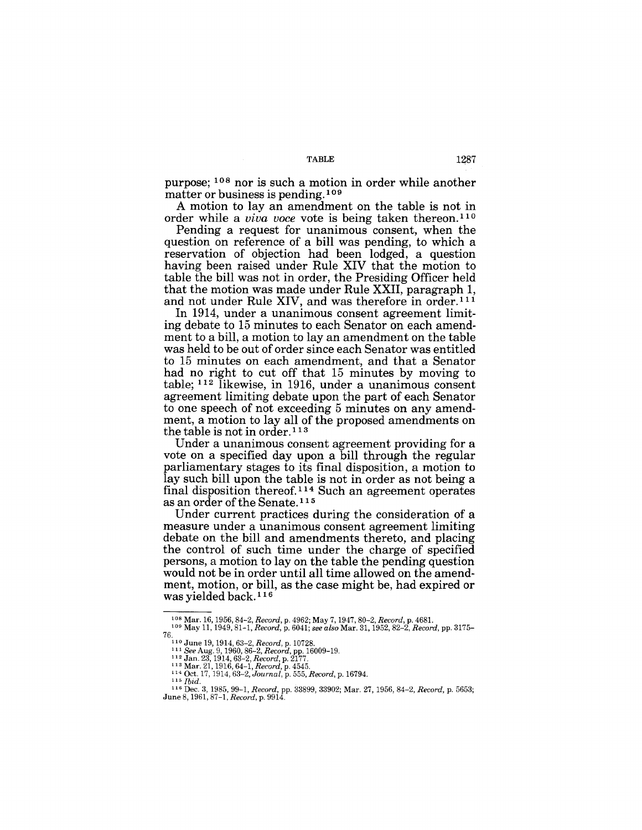purpose; 108 nor is such a motion in order while another matter or business is pending. 109

A motion to lay an amendment on the table is not in order while a *viva voce* vote is being taken thereon.<sup>110</sup>

Pending a request for unanimous consent, when the question on reference of a bill was pending, to which a reservation of objection had been lodged, a question having been raised under Rule XIV that the motion to table the bill was not in order, the Presiding Officer held that the motion was made under Rule XXII, paragraph 1, and not under Rule XIV, and was therefore in order.<sup>111</sup>

In 1914, under a unanimous consent agreement limiting debate to 15 minutes to each Senator on each amendment to a bill, a motion to lay an amendment on the table was held to be out of order since each Senator was entitled to 15 minutes on each amendment, and that a Senator had no right to cut off that 15 minutes by moving to table; 112 likewise, in 1916, under a unanimous consent agreement limiting debate upon the part of each Senator to one speech of not exceeding 5 minutes on any amendment, a motion to lay all of the proposed amendments on the table is not in order. 11 3

Under a unanimous consent agreement providing for a vote on a specified day upon a bill through the regular parliamentary stages to its final disposition, a motion to lay such bill upon the table is not in order as not being a final disposition thereof.<sup>114</sup> Such an agreement operates as an order of the Senate. 115

Under current practices during the consideration of a measure under a unanimous consent agreement limiting debate on the bill and amendments thereto, and placing the control of such time under the charge of specified persons, a motion to lay on the table the pending question would not be in order until all time allowed on the amendment, motion, or bill, as the case might be, had expired or was yielded back. 116

<sup>108</sup> Mar. 16, 1956, 84-2, *Record,* p. 4962; May 7, 1947,80-2, *Record,* p. 468l. 109 May 11, 1949, 81-1, *Record,* p. 6041; *see also* Mar. 31, 1952, 82-2, *Record,* pp. 3175- 76. 110 June 19, 1914, 63-2, *Record,* p. 10728.

<sup>&</sup>lt;sup>111</sup> See Aug. 9, 1960, 86–2, *Record*, pp. 16009–19.<br><sup>112</sup> Jan. 23, 1914, 63–2, *Record*, p. 2177.<br><sup>113</sup> Mar. 21, 1916, 64–1, *Record*, p. 4545.<br><sup>114</sup> Oct. 17, 1914, 63–2, Journal, p. 555, *Record*, p. 16794.<br><sup>115</sup> *Ibid.* 

<sup>116</sup> Dec. 3,1985,99-1, *Record,* pp. 33899, 33902; Mar. 27, 1956, 84-2, *Record,* p. 5653; June 8, 1961, 87-1, *Record,* p. 9914.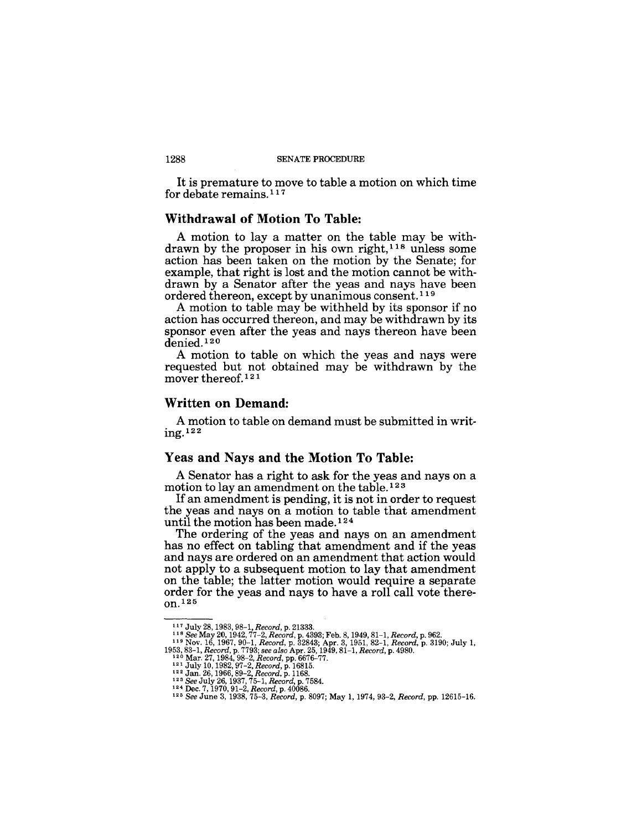It is premature to move to table a motion on which time for debate remains.  $117$ 

### **Withdrawal of Motion To Table:**

A motion to lay a matter on the table may be withdrawn by the proposer in his own right,<sup>118</sup> unless some action has been taken on the motion by the Senate; for example, that right is lost and the motion cannot be withdrawn by a Senator after the yeas and nays have been ordered thereon, except by unanimous consent. 119

A motion to table may be withheld by its sponsor if no action has occurred thereon, and may be withdrawn by its sponsor even after the yeas and nays thereon have been denied.<sup>120</sup>

A motion to table on which the yeas and nays were requested but not obtained may be withdrawn by the mover thereof.<sup>121</sup>

### **Written on Demand:**

A motion to table on demand must be submitted in writing. 122

#### Yeas **and** Nays **and the Motion To Table:**

A Senator has a right to ask for the yeas and nays on a motion to lay an amendment on the table.<sup>123</sup>

If an amendment is pending, it is not in order to request the yeas and nays on a motion to table that amendment until the motion has been made. 124

The ordering of the yeas and nays on an amendment has no effect on tabling that amendment and if the yeas and nays are ordered on an amendment that action would not apply to a subsequent motion to lay that amendment on the table; the latter motion would require a separate order for the yeas and nays to have a roll call vote thereon. 125

<sup>&</sup>lt;sup>117</sup> July 28, 1983, 98–1, *Record,* p. 21333.<br><sup>118</sup> *See May 20, 1942, 77–2, Record, p. 439*3; Feb. 8, 1949, 81–1, *Record, p.* 962.<br><sup>119</sup> Nov. 16, 1967, 90–1, *Record, p. 32*843; Apr. 3, 1951, 82–1, *Record, p. 3190; Jul* 

<sup>1953, 83–1,</sup> Record, p. 7793; see also Apr. 25, 1949, 81–1, Record, p. 4980.<br>
<sup>120</sup> Mar. 27, 1984, 98–2, Record, pp. 6676–77.<br>
<sup>221</sup> July 10, 1982, 97–2, Record, p. 16815.<br>
<sup>122</sup> Jan. 26, 1966, 89–2, Record, p. 1168.<br>
<sup>122</sup>